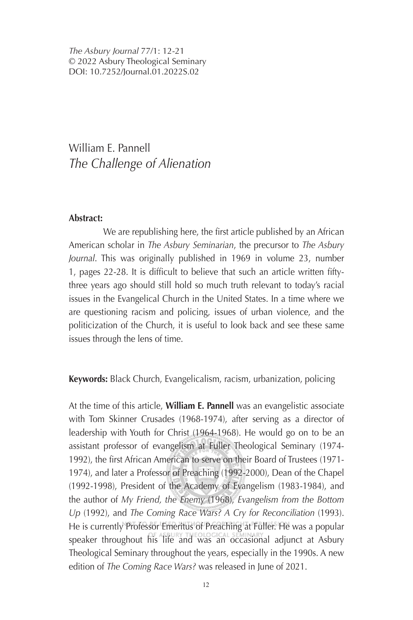*The Asbury Journal* 77/1: 12-21 © 2022 Asbury Theological Seminary DOI: 10.7252/Journal.01.2022S.02

William E. Pannell *The Challenge of Alienation*

## **Abstract:**

We are republishing here, the first article published by an African American scholar in *The Asbury Seminarian*, the precursor to *The Asbury Journal*. This was originally published in 1969 in volume 23, number 1, pages 22-28. It is difficult to believe that such an article written fiftythree years ago should still hold so much truth relevant to today's racial issues in the Evangelical Church in the United States. In a time where we are questioning racism and policing, issues of urban violence, and the politicization of the Church, it is useful to look back and see these same issues through the lens of time.

**Keywords:** Black Church, Evangelicalism, racism, urbanization, policing

At the time of this article, **William E. Pannell** was an evangelistic associate with Tom Skinner Crusades (1968-1974), after serving as a director of leadership with Youth for Christ (1964-1968). He would go on to be an assistant professor of evangelism at Fuller Theological Seminary (1974- 1992), the first African American to serve on their Board of Trustees (1971-1974), and later a Professor of Preaching (1992-2000), Dean of the Chapel (1992-1998), President of the Academy of Evangelism (1983-1984), and the author of *My Friend, the Enemy* (1968), *Evangelism from the Bottom Up* (1992), and *The Coming Race Wars? A Cry for Reconciliation* (1993). He is currently Professor Emeritus of Preaching at Fuller. He was a popular speaker throughout his life and was an occasional adjunct at Asbury Theological Seminary throughout the years, especially in the 1990s. A new edition of *The Coming Race Wars?* was released in June of 2021.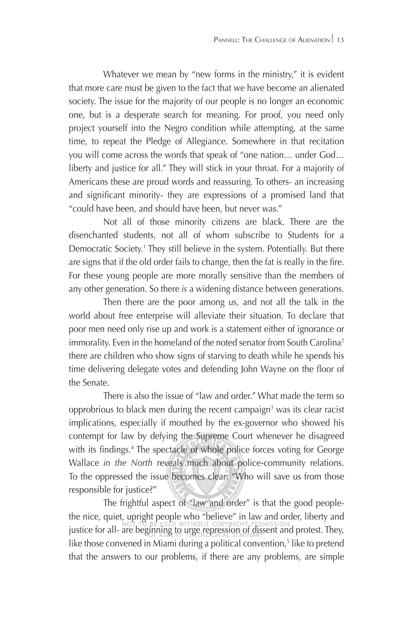Whatever we mean by "new forms in the ministry," it is evident that more care must be given to the fact that we have become an alienated society. The issue for the majority of our people is no longer an economic one, but is a desperate search for meaning. For proof, you need only project yourself into the Negro condition while attempting, at the same time, to repeat the Pledge of Allegiance. Somewhere in that recitation you will come across the words that speak of "one nation… under God… liberty and justice for all." They will stick in your throat. For a majority of Americans these are proud words and reassuring. To others- an increasing and significant minority- they are expressions of a promised land that "could have been, and should have been, but never was."

Not all of those minority citizens are black. There are the disenchanted students, not all of whom subscribe to Students for a Democratic Society.<sup>1</sup> They still believe in the system. Potentially. But there are signs that if the old order fails to change, then the fat is really in the fire. For these young people are more morally sensitive than the members of any other generation. So there *is* a widening distance between generations.

Then there are the poor among us, and not all the talk in the world about free enterprise will alleviate their situation. To declare that poor men need only rise up and work is a statement either of ignorance or immorality. Even in the homeland of the noted senator from South Carolina<sup>2</sup> there are children who show signs of starving to death while he spends his time delivering delegate votes and defending John Wayne on the floor of the Senate.

There is also the issue of "law and order." What made the term so opprobrious to black men during the recent campaign<sup>3</sup> was its clear racist implications, especially if mouthed by the ex-governor who showed his contempt for law by defying the Supreme Court whenever he disagreed with its findings.<sup>4</sup> The spectacle of whole police forces voting for George Wallace *in the North* reveals much about police-community relations. To the oppressed the issue becomes clear: "Who will save us from those responsible for justice?"

The frightful aspect of "law and order" is that the good peoplethe nice, quiet, upright people who "believe" in law and order, liberty and justice for all- are beginning to urge repression of dissent and protest. They, like those convened in Miami during a political convention,<sup>5</sup> like to pretend that the answers to our problems, if there are any problems, are simple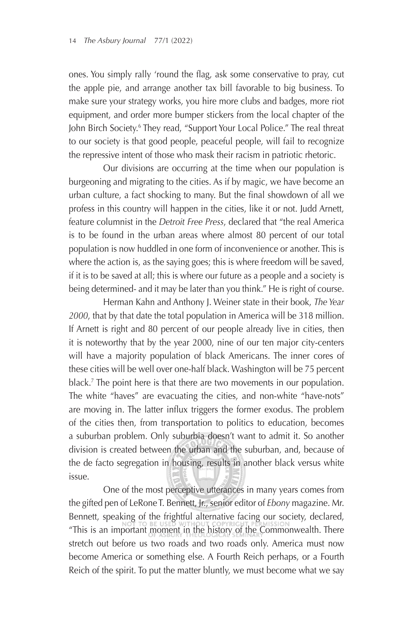ones. You simply rally 'round the flag, ask some conservative to pray, cut the apple pie, and arrange another tax bill favorable to big business. To make sure your strategy works, you hire more clubs and badges, more riot equipment, and order more bumper stickers from the local chapter of the John Birch Society.<sup>6</sup> They read, "Support Your Local Police." The real threat to our society is that good people, peaceful people, will fail to recognize the repressive intent of those who mask their racism in patriotic rhetoric.

Our divisions are occurring at the time when our population is burgeoning and migrating to the cities. As if by magic, we have become an urban culture, a fact shocking to many. But the final showdown of all we profess in this country will happen in the cities, like it or not. Judd Arnett, feature columnist in the *Detroit Free Press*, declared that "the real America is to be found in the urban areas where almost 80 percent of our total population is now huddled in one form of inconvenience or another. This is where the action is, as the saying goes; this is where freedom will be saved, if it is to be saved at all; this is where our future as a people and a society is being determined- and it may be later than you think." He is right of course.

Herman Kahn and Anthony J. Weiner state in their book, *The Year 2000*, that by that date the total population in America will be 318 million. If Arnett is right and 80 percent of our people already live in cities, then it is noteworthy that by the year 2000, nine of our ten major city-centers will have a majority population of black Americans. The inner cores of these cities will be well over one-half black. Washington will be 75 percent black.7 The point here is that there are two movements in our population. The white "haves" are evacuating the cities, and non-white "have-nots" are moving in. The latter influx triggers the former exodus. The problem of the cities then, from transportation to politics to education, becomes a suburban problem. Only suburbia doesn't want to admit it. So another division is created between the urban and the suburban, and, because of the de facto segregation in housing, results in another black versus white issue.

One of the most perceptive utterances in many years comes from the gifted pen of LeRone T. Bennett, Jr., senior editor of *Ebony* magazine. Mr. Bennett, speaking of the frightful alternative facing our society, declared, "This is an important moment in the history of the Commonwealth. There stretch out before us two roads and two roads only. America must now become America or something else. A Fourth Reich perhaps, or a Fourth Reich of the spirit. To put the matter bluntly, we must become what we say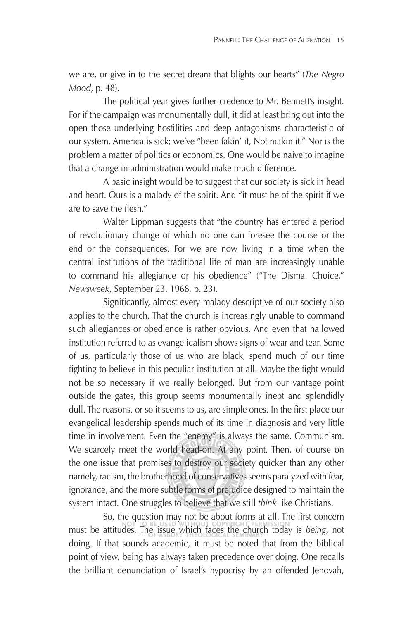we are, or give in to the secret dream that blights our hearts" (*The Negro Mood*, p. 48).

The political year gives further credence to Mr. Bennett's insight. For if the campaign was monumentally dull, it did at least bring out into the open those underlying hostilities and deep antagonisms characteristic of our system. America is sick; we've "been fakin' it, Not makin it." Nor is the problem a matter of politics or economics. One would be naive to imagine that a change in administration would make much difference.

A basic insight would be to suggest that our society is sick in head and heart. Ours is a malady of the spirit. And "it must be of the spirit if we are to save the flesh."

Walter Lippman suggests that "the country has entered a period of revolutionary change of which no one can foresee the course or the end or the consequences. For we are now living in a time when the central institutions of the traditional life of man are increasingly unable to command his allegiance or his obedience" ("The Dismal Choice," *Newsweek*, September 23, 1968, p. 23).

Significantly, almost every malady descriptive of our society also applies to the church. That the church is increasingly unable to command such allegiances or obedience is rather obvious. And even that hallowed institution referred to as evangelicalism shows signs of wear and tear. Some of us, particularly those of us who are black, spend much of our time fighting to believe in this peculiar institution at all. Maybe the fight would not be so necessary if we really belonged. But from our vantage point outside the gates, this group seems monumentally inept and splendidly dull. The reasons, or so it seems to us, are simple ones. In the first place our evangelical leadership spends much of its time in diagnosis and very little time in involvement. Even the "enemy" is always the same. Communism. We scarcely meet the world head-on. At any point. Then, of course on the one issue that promises to destroy our society quicker than any other namely, racism, the brotherhood of conservatives seems paralyzed with fear, ignorance, and the more subtle forms of prejudice designed to maintain the system intact. One struggles to believe that we still *think* like Christians.

So, the question may not be about forms at all. The first concern must be attitudes. The issue which faces the church today is *being*, not doing. If that sounds academic, it must be noted that from the biblical point of view, being has always taken precedence over doing. One recalls the brilliant denunciation of Israel's hypocrisy by an offended Jehovah,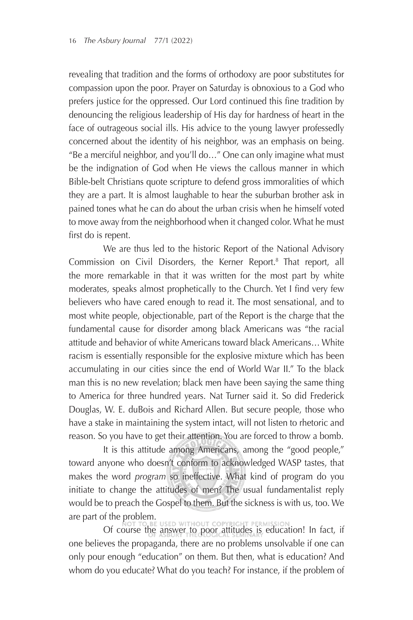revealing that tradition and the forms of orthodoxy are poor substitutes for compassion upon the poor. Prayer on Saturday is obnoxious to a God who prefers justice for the oppressed. Our Lord continued this fine tradition by denouncing the religious leadership of His day for hardness of heart in the face of outrageous social ills. His advice to the young lawyer professedly concerned about the identity of his neighbor, was an emphasis on being. "Be a merciful neighbor, and you'll do…" One can only imagine what must be the indignation of God when He views the callous manner in which Bible-belt Christians quote scripture to defend gross immoralities of which they are a part. It is almost laughable to hear the suburban brother ask in pained tones what he can do about the urban crisis when he himself voted to move away from the neighborhood when it changed color. What he must first do is repent.

We are thus led to the historic Report of the National Advisory Commission on Civil Disorders, the Kerner Report.<sup>8</sup> That report, all the more remarkable in that it was written for the most part by white moderates, speaks almost prophetically to the Church. Yet I find very few believers who have cared enough to read it. The most sensational, and to most white people, objectionable, part of the Report is the charge that the fundamental cause for disorder among black Americans was "the racial attitude and behavior of white Americans toward black Americans… White racism is essentially responsible for the explosive mixture which has been accumulating in our cities since the end of World War II." To the black man this is no new revelation; black men have been saying the same thing to America for three hundred years. Nat Turner said it. So did Frederick Douglas, W. E. duBois and Richard Allen. But secure people, those who have a stake in maintaining the system intact, will not listen to rhetoric and reason. So you have to get their attention. You are forced to throw a bomb.

It is this attitude among Americans, among the "good people," toward anyone who doesn't conform to acknowledged WASP tastes, that makes the word *program* so ineffective. What kind of program do you initiate to change the attitudes of men? The usual fundamentalist reply would be to preach the Gospel to them. But the sickness is with us, too. We are part of the problem.

Of course the answer to poor attitudes is education! In fact, if one believes the propaganda, there are no problems unsolvable if one can only pour enough "education" on them. But then, what is education? And whom do you educate? What do you teach? For instance, if the problem of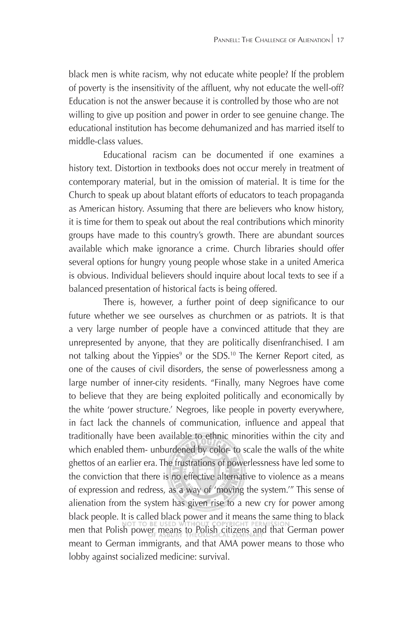black men is white racism, why not educate white people? If the problem of poverty is the insensitivity of the affluent, why not educate the well-off? Education is not the answer because it is controlled by those who are not willing to give up position and power in order to see genuine change. The educational institution has become dehumanized and has married itself to middle-class values.

Educational racism can be documented if one examines a history text. Distortion in textbooks does not occur merely in treatment of contemporary material, but in the omission of material. It is time for the Church to speak up about blatant efforts of educators to teach propaganda as American history. Assuming that there are believers who know history, it is time for them to speak out about the real contributions which minority groups have made to this country's growth. There are abundant sources available which make ignorance a crime. Church libraries should offer several options for hungry young people whose stake in a united America is obvious. Individual believers should inquire about local texts to see if a balanced presentation of historical facts is being offered.

There is, however, a further point of deep significance to our future whether we see ourselves as churchmen or as patriots. It is that a very large number of people have a convinced attitude that they are unrepresented by anyone, that they are politically disenfranchised. I am not talking about the Yippies<sup>9</sup> or the SDS.<sup>10</sup> The Kerner Report cited, as one of the causes of civil disorders, the sense of powerlessness among a large number of inner-city residents. "Finally, many Negroes have come to believe that they are being exploited politically and economically by the white 'power structure.' Negroes, like people in poverty everywhere, in fact lack the channels of communication, influence and appeal that traditionally have been available to ethnic minorities within the city and which enabled them- unburdened by color- to scale the walls of the white ghettos of an earlier era. The frustrations of powerlessness have led some to the conviction that there is no effective alternative to violence as a means of expression and redress, as a way of 'moving the system.'" This sense of alienation from the system has given rise to a new cry for power among black people. It is called black power and it means the same thing to black men that Polish power means to Polish citizens and that German power meant to German immigrants, and that AMA power means to those who lobby against socialized medicine: survival.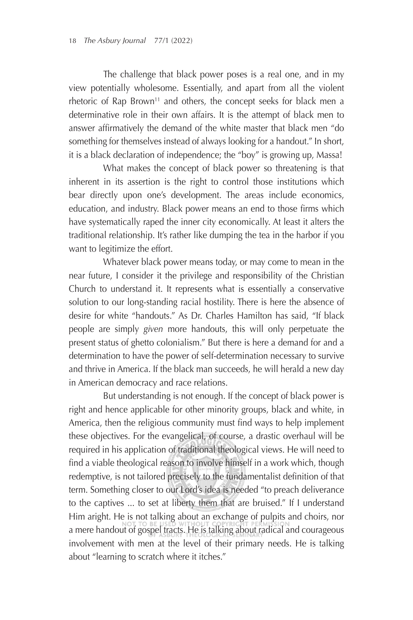The challenge that black power poses is a real one, and in my view potentially wholesome. Essentially, and apart from all the violent rhetoric of Rap Brown<sup>11</sup> and others, the concept seeks for black men a determinative role in their own affairs. It is the attempt of black men to answer affirmatively the demand of the white master that black men "do something for themselves instead of always looking for a handout." In short, it is a black declaration of independence; the "boy" is growing up, Massa!

What makes the concept of black power so threatening is that inherent in its assertion is the right to control those institutions which bear directly upon one's development. The areas include economics, education, and industry. Black power means an end to those firms which have systematically raped the inner city economically. At least it alters the traditional relationship. It's rather like dumping the tea in the harbor if you want to legitimize the effort.

Whatever black power means today, or may come to mean in the near future, I consider it the privilege and responsibility of the Christian Church to understand it. It represents what is essentially a conservative solution to our long-standing racial hostility. There is here the absence of desire for white "handouts." As Dr. Charles Hamilton has said, "If black people are simply *given* more handouts, this will only perpetuate the present status of ghetto colonialism." But there is here a demand for and a determination to have the power of self-determination necessary to survive and thrive in America. If the black man succeeds, he will herald a new day in American democracy and race relations.

But understanding is not enough. If the concept of black power is right and hence applicable for other minority groups, black and white, in America, then the religious community must find ways to help implement these objectives. For the evangelical, of course, a drastic overhaul will be required in his application of traditional theological views. He will need to find a viable theological reason to involve himself in a work which, though redemptive, is not tailored precisely to the fundamentalist definition of that term. Something closer to our Lord's idea is needed "to preach deliverance to the captives ... to set at liberty them that are bruised." If I understand Him aright. He is not talking about an exchange of pulpits and choirs, nor a mere handout of gospel tracts. He is talking about radical and courageous involvement with men at the level of their primary needs. He is talking about "learning to scratch where it itches."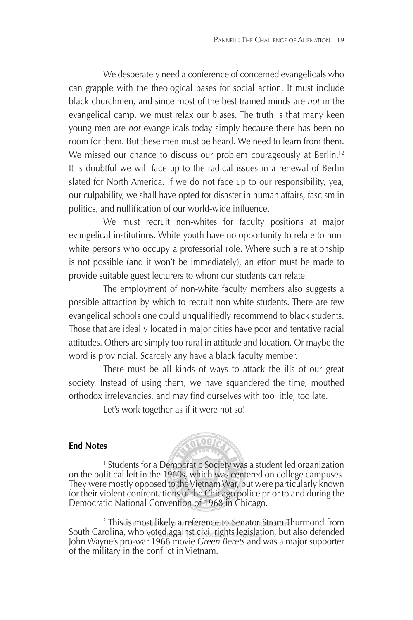We desperately need a conference of concerned evangelicals who can grapple with the theological bases for social action. It must include black churchmen, and since most of the best trained minds are *not* in the evangelical camp, we must relax our biases. The truth is that many keen young men are *not* evangelicals today simply because there has been no room for them. But these men must be heard. We need to learn from them. We missed our chance to discuss our problem courageously at Berlin.<sup>12</sup> It is doubtful we will face up to the radical issues in a renewal of Berlin slated for North America. If we do not face up to our responsibility, yea, our culpability, we shall have opted for disaster in human affairs, fascism in politics, and nullification of our world-wide influence.

We must recruit non-whites for faculty positions at major evangelical institutions. White youth have no opportunity to relate to nonwhite persons who occupy a professorial role. Where such a relationship is not possible (and it won't be immediately), an effort must be made to provide suitable guest lecturers to whom our students can relate.

The employment of non-white faculty members also suggests a possible attraction by which to recruit non-white students. There are few evangelical schools one could unqualifiedly recommend to black students. Those that are ideally located in major cities have poor and tentative racial attitudes. Others are simply too rural in attitude and location. Or maybe the word is provincial. Scarcely any have a black faculty member.

There must be all kinds of ways to attack the ills of our great society. Instead of using them, we have squandered the time, mouthed orthodox irrelevancies, and may find ourselves with too little, too late.

Let's work together as if it were not so!

## **End Notes**



**RIOGIA** 

<sup>2</sup> This is most likely a reference to Senator Strom Thurmond from South Carolina, who voted against civil rights legislation, but also defended John Wayne's pro-war 1968 movie *Green Berets* and was a major supporter of the military in the conflict in Vietnam.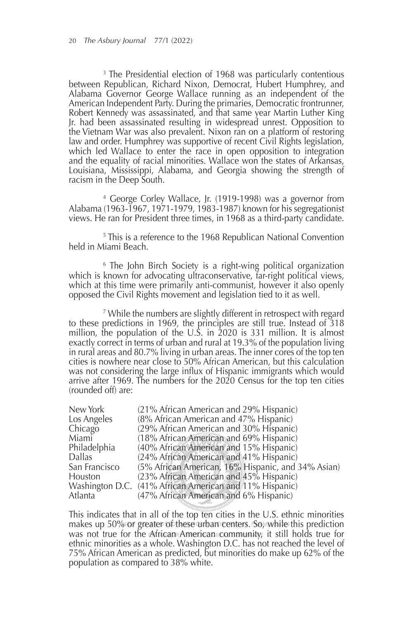3 The Presidential election of 1968 was particularly contentious between Republican, Richard Nixon, Democrat, Hubert Humphrey, and Alabama Governor George Wallace running as an independent of the American Independent Party. During the primaries, Democratic frontrunner, Robert Kennedy was assassinated, and that same year Martin Luther King Jr. had been assassinated resulting in widespread unrest. Opposition to the Vietnam War was also prevalent. Nixon ran on a platform of restoring law and order. Humphrey was supportive of recent Civil Rights legislation, which led Wallace to enter the race in open opposition to integration and the equality of racial minorities. Wallace won the states of Arkansas, Louisiana, Mississippi, Alabama, and Georgia showing the strength of racism in the Deep South.

<sup>4</sup> George Corley Wallace, Jr. (1919-1998) was a governor from Alabama (1963-1967, 1971-1979, 1983-1987) known for his segregationist views. He ran for President three times, in 1968 as a third-party candidate.

5 This is a reference to the 1968 Republican National Convention held in Miami Beach.

<sup>6</sup> The John Birch Society is a right-wing political organization which is known for advocating ultraconservative, far-right political views, which at this time were primarily anti-communist, however it also openly opposed the Civil Rights movement and legislation tied to it as well.

7 While the numbers are slightly different in retrospect with regard to these predictions in 1969, the principles are still true. Instead of 318 million, the population of the U.S. in 2020 is 331 million. It is almost exactly correct in terms of urban and rural at 19.3% of the population living in rural areas and 80.7% living in urban areas. The inner cores of the top ten cities is nowhere near close to 50% African American, but this calculation was not considering the large influx of Hispanic immigrants which would arrive after 1969. The numbers for the 2020 Census for the top ten cities (rounded off) are:

| New York      | (21% African American and 29% Hispanic)                 |
|---------------|---------------------------------------------------------|
| Los Angeles   | $(8\%$ African American and 47% Hispanic)               |
| Chicago       | (29% African American and 30% Hispanic)                 |
| Miami         | (18% African American and 69% Hispanic)                 |
| Philadelphia  | (40% African American and 15% Hispanic)                 |
| Dallas        | (24% African American and 41% Hispanic)                 |
| San Francisco | (5% African American, 16% Hispanic, and 34% Asian)      |
| Houston       |                                                         |
|               | Washington D.C. (41% African American and 11% Hispanic) |
| Atlanta       | (47% African American and 6% Hispanic)                  |
|               | (23% African American and 45% Hispanic)                 |

This indicates that in all of the top ten cities in the U.S. ethnic minorities makes up 50% or greater of these urban centers. So, while this prediction was not true for the African American community, it still holds true for ethnic minorities as a whole. Washington D.C. has not reached the level of 75% African American as predicted, but minorities do make up 62% of the population as compared to 38% white.